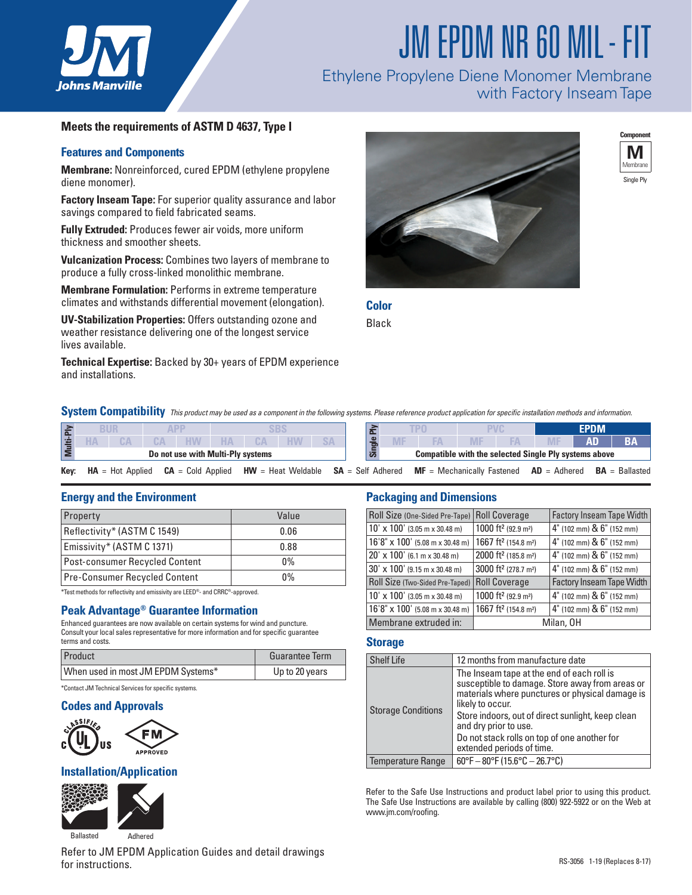

# JM EPDM NR 60 MIL- FIT

### Ethylene Propylene Diene Monomer Membrane with Factory Inseam Tape

#### **Meets the requirements of ASTM D 4637, Type I**

#### **Features and Components**

**Membrane:** Nonreinforced, cured EPDM (ethylene propylene diene monomer).

**Factory Inseam Tape:** For superior quality assurance and labor savings compared to field fabricated seams.

**Fully Extruded:** Produces fewer air voids, more uniform thickness and smoother sheets.

**Vulcanization Process:** Combines two layers of membrane to produce a fully cross-linked monolithic membrane.

**Membrane Formulation:** Performs in extreme temperature climates and withstands differential movement (elongation).

**UV-Stabilization Properties:** Offers outstanding ozone and weather resistance delivering one of the longest service lives available.

**Technical Expertise:** Backed by 30+ years of EPDM experience and installations.





**Color**

Black

**System Compatibility** *This product may be used as a component in the following systems. Please reference product application for specific installation methods and information.* 

|      |  |                    |  |                                   |  |                      |  |  |                     |                              |  | EPDM |                                                              |    |                  |
|------|--|--------------------|--|-----------------------------------|--|----------------------|--|--|---------------------|------------------------------|--|------|--------------------------------------------------------------|----|------------------|
|      |  | CА                 |  |                                   |  |                      |  |  | മ                   |                              |  |      |                                                              | ΛП |                  |
|      |  |                    |  | Do not use with Multi-Ply systems |  |                      |  |  |                     |                              |  |      | <b>Compatible with the selected Single Ply systems above</b> |    |                  |
| Key: |  | $HA = Hot Applied$ |  | $CA = Cold Applied$               |  | $HW = Heat$ Weldable |  |  | $SA = Self$ Adhered | $MF = Mechanically$ Fastened |  |      | $AD =$ Adhered                                               |    | $BA = Ballasted$ |

#### **Energy and the Environment**

| Property                       | Value |  |  |  |
|--------------------------------|-------|--|--|--|
| Reflectivity* (ASTM C 1549)    | 0.06  |  |  |  |
| Emissivity* (ASTM C 1371)      | 0.88  |  |  |  |
| Post-consumer Recycled Content | 0%    |  |  |  |
| Pre-Consumer Recycled Content  | $0\%$ |  |  |  |

\*Test methods for reflectivity and emissivity are LEED®- and CRRC®-approved.

#### **Peak Advantage® Guarantee Information**

Enhanced guarantees are now available on certain systems for wind and puncture. Consult your local sales representative for more information and for specific guarantee terms and costs.

| Product                                              | <b>Guarantee Term</b> |  |  |  |  |
|------------------------------------------------------|-----------------------|--|--|--|--|
| When used in most JM EPDM Systems*                   | Up to 20 years        |  |  |  |  |
| *Contact JM Technical Services for specific systems. |                       |  |  |  |  |

## **Codes and Approvals**





#### **Installation/Application**



Refer to JM EPDM Application Guides and detail drawings for instructions.

#### **Packaging and Dimensions**

| Roll Size (One-Sided Pre-Tape)   Roll Coverage |                                                                           | <b>Factory Inseam Tape Width</b>            |  |  |
|------------------------------------------------|---------------------------------------------------------------------------|---------------------------------------------|--|--|
| $10' \times 100'$ (3.05 m x 30.48 m)           | 1000 ft <sup>2</sup> (92.9 m <sup>2</sup> )                               | $4"$ (102 mm) & $6"$ (152 mm)               |  |  |
| $16'8'' \times 100'$ (5.08 m x 30.48 m)        | 1667 ft <sup>2</sup> (154.8 m <sup>2</sup> )                              | $4^{\circ}$ (102 mm) & $6^{\circ}$ (152 mm) |  |  |
| 20' x 100' (6.1 m x 30.48 m)                   | 2000 ft <sup>2</sup> (185.8 m <sup>2</sup> )                              | $4^{\circ}$ (102 mm) & $6^{\circ}$ (152 mm) |  |  |
| $30' \times 100'$ (9.15 m x 30.48 m)           | 3000 ft <sup>2</sup> (278.7 m <sup>2</sup> )                              | $4^{\circ}$ (102 mm) & $6^{\circ}$ (152 mm) |  |  |
| Roll Size (Two-Sided Pre-Taped)                | <b>Roll Coverage</b>                                                      | <b>Factory Inseam Tape Width</b>            |  |  |
| $10' \times 100'$ (3.05 m x 30.48 m)           | 1000 ft <sup>2</sup> (92.9 m <sup>2</sup> )                               | 4" (102 mm) & 6" (152 mm)                   |  |  |
| $16'8'' \times 100'$ (5.08 m x 30.48 m)        | 1667 ft <sup>2</sup> (154.8 m <sup>2</sup> )<br>4" (102 mm) & 6" (152 mm) |                                             |  |  |
| Membrane extruded in:                          | Milan, OH                                                                 |                                             |  |  |

#### **Storage**

| <b>Shelf Life</b>         | 12 months from manufacture date                                                                                                                                                                                                                                                                                                 |  |  |  |
|---------------------------|---------------------------------------------------------------------------------------------------------------------------------------------------------------------------------------------------------------------------------------------------------------------------------------------------------------------------------|--|--|--|
| <b>Storage Conditions</b> | The Inseam tape at the end of each roll is<br>susceptible to damage. Store away from areas or<br>materials where punctures or physical damage is<br>likely to occur.<br>Store indoors, out of direct sunlight, keep clean<br>and dry prior to use.<br>Do not stack rolls on top of one another for<br>extended periods of time. |  |  |  |
| Temperature Range         | $60^{\circ}$ F - $80^{\circ}$ F (15.6°C - 26.7°C)                                                                                                                                                                                                                                                                               |  |  |  |

Refer to the Safe Use Instructions and product label prior to using this product. The Safe Use Instructions are available by calling (800) 922-5922 or on the Web at www.jm.com/roofing.